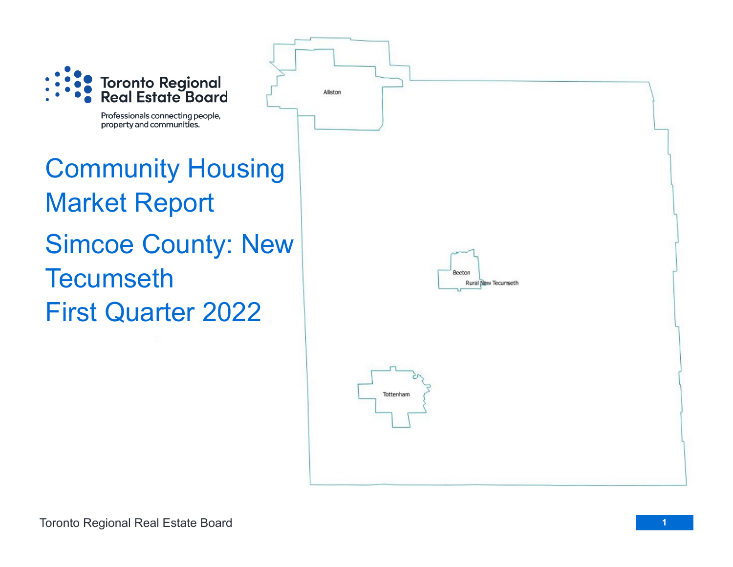

Professionals connecting people, property and communities.

## Community Housing Market Report Simcoe County: New **Tecumseth** First Quarter 2022

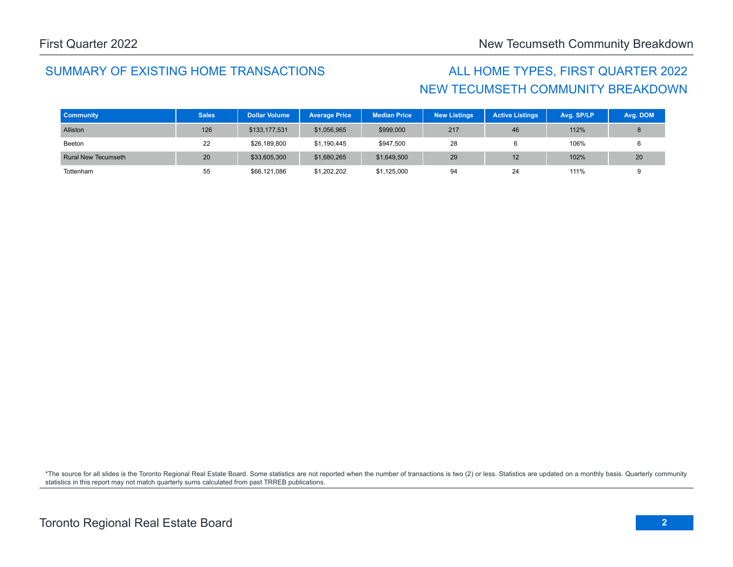## SUMMARY OF EXISTING HOME TRANSACTIONS ALL HOME TYPES, FIRST QUARTER 2022

## NEW TECUMSETH COMMUNITY BREAKDOWN

| <b>Community</b>           | <b>Sales</b> | <b>Dollar Volume</b> | <b>Average Price</b> | <b>Median Price</b> | <b>New Listings</b> | <b>Active Listings</b> | Avg. SP/LP | Avg. DOM |
|----------------------------|--------------|----------------------|----------------------|---------------------|---------------------|------------------------|------------|----------|
| Alliston                   | 126          | \$133,177,531        | \$1,056,965          | \$999,000           | 217                 | 46                     | 112%       |          |
| Beeton                     | 22           | \$26,189,800         | \$1,190,445          | \$947,500           | 28                  |                        | 106%       |          |
| <b>Rural New Tecumseth</b> | 20           | \$33,605,300         | \$1,680,265          | \$1,649,500         | 29                  | 12                     | 102%       | 20       |
| Tottenham                  | 55           | \$66,121,086         | \$1,202,202          | \$1,125,000         | 94                  | 24                     | 111%       |          |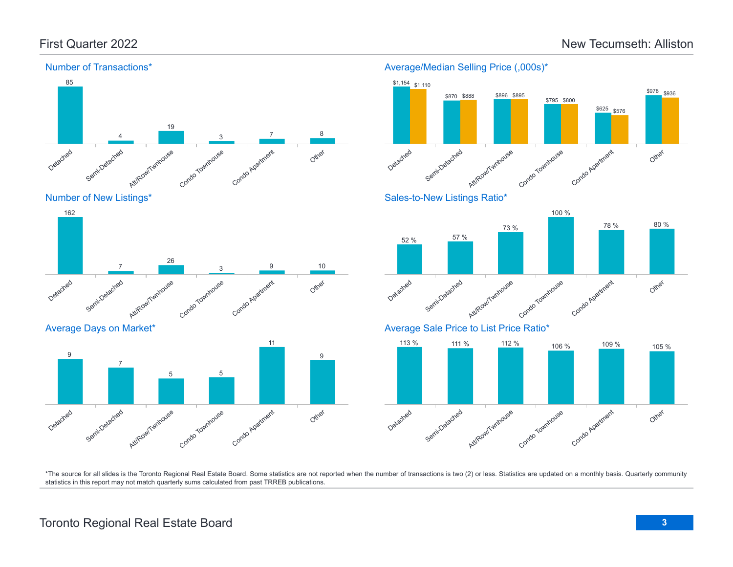

Number of New Listings\*



Average Days on Market\*







Sales-to-New Listings Ratio\*



Average Sale Price to List Price Ratio\*

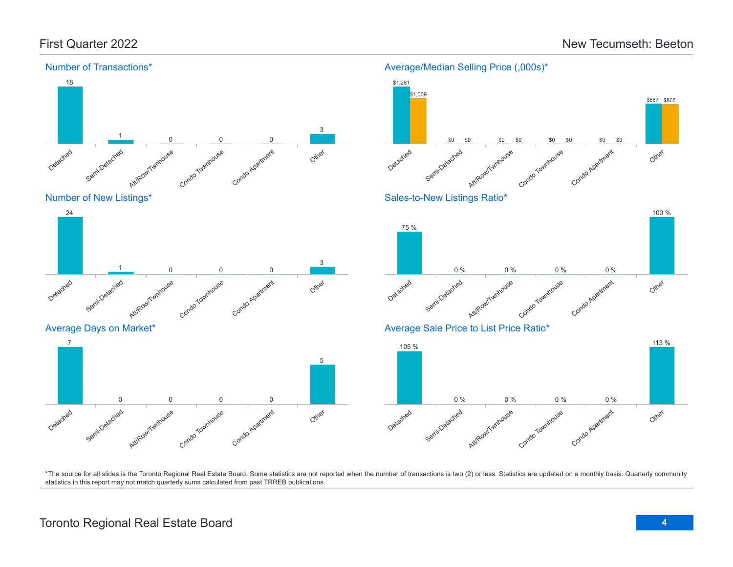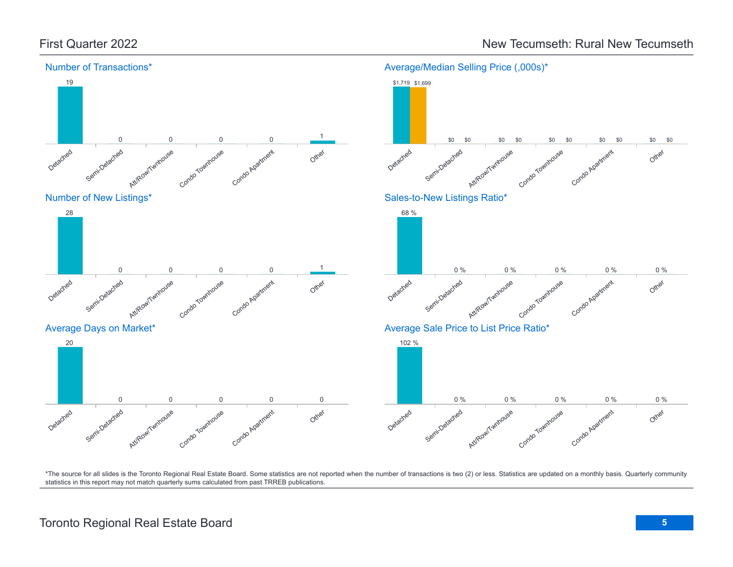